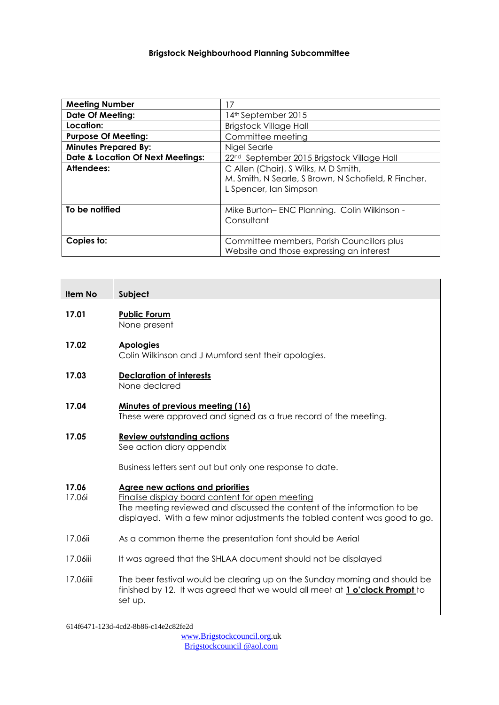#### **Brigstock Neighbourhood Planning Subcommittee**

| <b>Meeting Number</b>                        | 17                                                     |
|----------------------------------------------|--------------------------------------------------------|
| <b>Date Of Meeting:</b>                      | 14 <sup>th</sup> September 2015                        |
| Location:                                    | <b>Brigstock Village Hall</b>                          |
| <b>Purpose Of Meeting:</b>                   | Committee meeting                                      |
| <b>Minutes Prepared By:</b>                  | Nigel Searle                                           |
| <b>Date &amp; Location Of Next Meetings:</b> | 22 <sup>nd</sup> September 2015 Brigstock Village Hall |
| Attendees:                                   | C Allen (Chair), S Wilks, M D Smith,                   |
|                                              | M. Smith, N Searle, S Brown, N Schofield, R Fincher.   |
|                                              | L Spencer, Ian Simpson                                 |
|                                              |                                                        |
| To be notified                               | Mike Burton-ENC Planning. Colin Wilkinson -            |
|                                              | Consultant                                             |
|                                              |                                                        |
| Copies to:                                   | Committee members, Parish Councillors plus             |
|                                              | Website and those expressing an interest               |

#### **Item No Subject**

#### **17.01 Public Forum** None present

## **17.02 Apologies**

Colin Wilkinson and J Mumford sent their apologies.

#### **17.03 Declaration of interests** None declared

#### **17.04 Minutes of previous meeting (16)** These were approved and signed as a true record of the meeting.

### **17.05 Review outstanding actions**

See action diary appendix

Business letters sent out but only one response to date.

#### **17.06 Agree new actions and priorities**

- 17.06i Finalise display board content for open meeting The meeting reviewed and discussed the content of the information to be displayed. With a few minor adjustments the tabled content was good to go.
- 17.06ii As a common theme the presentation font should be Aerial
- 17.06iii It was agreed that the SHLAA document should not be displayed
- 17.06iiii The beer festival would be clearing up on the Sunday morning and should be finished by 12. It was agreed that we would all meet at **1 o'clock Prompt** to set up.

614f6471-123d-4cd2-8b86-c14e2c82fe2d

[www.Brigstockcouncil.org.](http://www.brigstockcouncil.org/)uk Brigstockcouncil @aol.com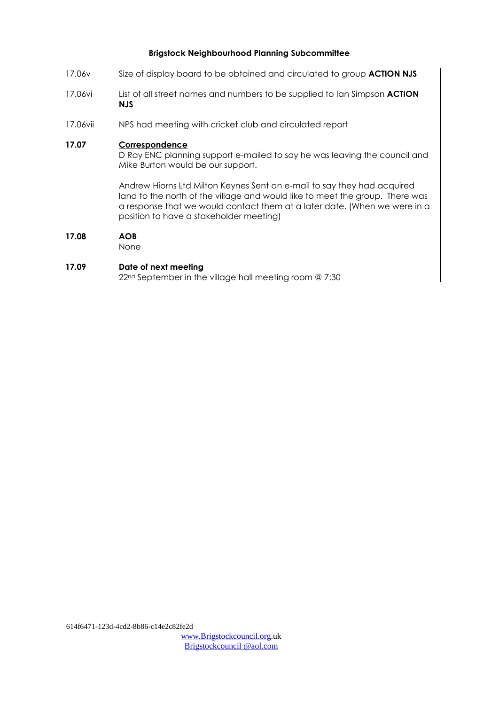#### **Brigstock Neighbourhood Planning Subcommittee**

- 17.06v Size of display board to be obtained and circulated to group **ACTION NJS**
- 17.06vi List of all street names and numbers to be supplied to Ian Simpson **ACTION NJS**
- 17.06vii NPS had meeting with cricket club and circulated report

#### **17.07 Correspondence**

D Ray ENC planning support e-mailed to say he was leaving the council and Mike Burton would be our support.

Andrew Hiorns Ltd Milton Keynes Sent an e-mail to say they had acquired land to the north of the village and would like to meet the group. There was a response that we would contact them at a later date. (When we were in a position to have a stakeholder meeting)

#### **17.08 AOB**

None

#### **17.09 Date of next meeting**

22nd September in the village hall meeting room @ 7:30

[www.Brigstockcouncil.org.](http://www.brigstockcouncil.org/)uk Brigstockcouncil @aol.com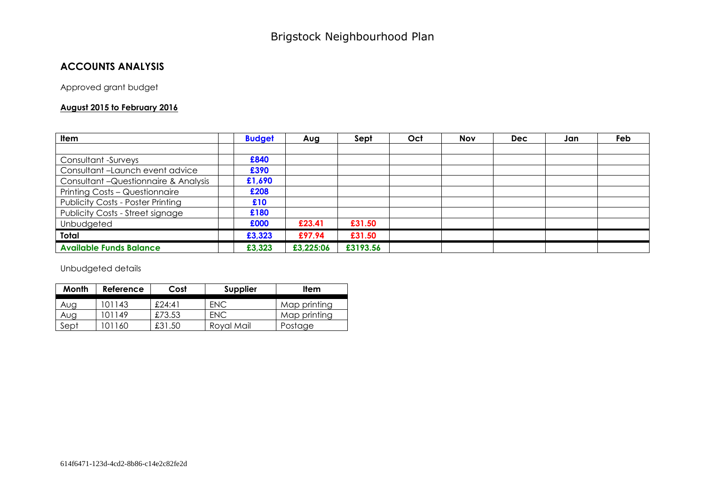## **ACCOUNTS ANALYSIS**

Approved grant budget

#### **August 2015 to February 2016**

| <b>Item</b>                              | <b>Budget</b> | Aug       | Sept     | Oct | <b>Nov</b> | <b>Dec</b> | Jan | Feb |
|------------------------------------------|---------------|-----------|----------|-----|------------|------------|-----|-----|
|                                          |               |           |          |     |            |            |     |     |
| Consultant -Surveys                      | £840          |           |          |     |            |            |     |     |
| Consultant-Launch event advice           | £390          |           |          |     |            |            |     |     |
| Consultant-Questionnaire & Analysis      | £1,690        |           |          |     |            |            |     |     |
| Printing Costs - Questionnaire           | £208          |           |          |     |            |            |     |     |
| <b>Publicity Costs - Poster Printing</b> | £10           |           |          |     |            |            |     |     |
| Publicity Costs - Street signage         | £180          |           |          |     |            |            |     |     |
| Unbudgeted                               | £000          | £23.41    | £31.50   |     |            |            |     |     |
| Total                                    | £3,323        | £97.94    | £31.50   |     |            |            |     |     |
| <b>Available Funds Balance</b>           | £3,323        | £3,225:06 | £3193.56 |     |            |            |     |     |

Unbudgeted details

| Month | Reference | Cost   | <b>Supplier</b> | Item         |
|-------|-----------|--------|-----------------|--------------|
| Aug   | 101143    | £24:41 | ENC             | Map printing |
| Aug   | 101149    | £73.53 | <b>FNC</b>      | Map printing |
| Sept  | 01160     | £31.50 | Royal Mail      | Postage      |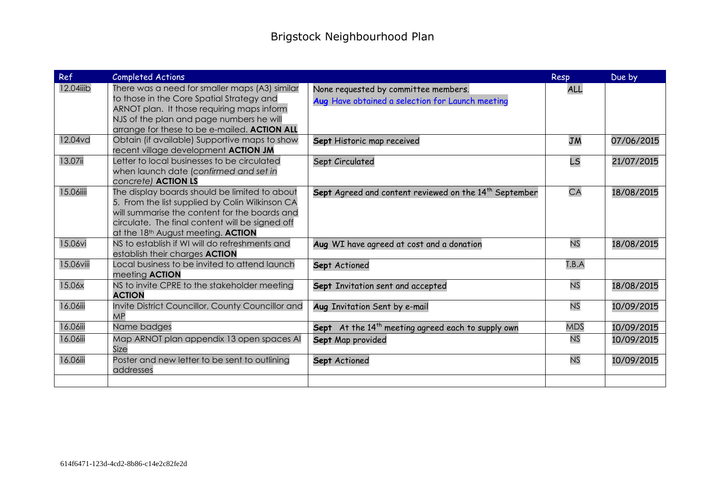| Ref       | <b>Completed Actions</b>                                                                                                                                                                                                                                      |                                                                                          | <b>Resp</b> | Due by     |
|-----------|---------------------------------------------------------------------------------------------------------------------------------------------------------------------------------------------------------------------------------------------------------------|------------------------------------------------------------------------------------------|-------------|------------|
| 12.04iiib | There was a need for smaller maps (A3) similar<br>to those in the Core Spatial Strategy and<br>ARNOT plan. It those requiring maps inform<br>NJS of the plan and page numbers he will<br>arrange for these to be e-mailed. ACTION ALL                         | None requested by committee members.<br>Aug Have obtained a selection for Launch meeting | <b>ALL</b>  |            |
| 12.04vd   | Obtain (if available) Supportive maps to show<br>recent village development ACTION JM                                                                                                                                                                         | Sept Historic map received                                                               | <b>JM</b>   | 07/06/2015 |
| 13.07ii   | Letter to local businesses to be circulated<br>when launch date (confirmed and set in<br>concrete) <b>ACTION LS</b>                                                                                                                                           | Sept Circulated                                                                          | <b>LS</b>   | 21/07/2015 |
| 15.06iiii | The display boards should be limited to about<br>5. From the list supplied by Colin Wilkinson CA<br>will summarise the content for the boards and<br>circulate. The final content will be signed off<br>at the 18 <sup>th</sup> August meeting. <b>ACTION</b> | Sept Agreed and content reviewed on the 14 <sup>th</sup> September                       | CA          | 18/08/2015 |
| 15.06vi   | NS to establish if WI will do refreshments and<br>establish their charges <b>ACTION</b>                                                                                                                                                                       | Aug WI have agreed at cost and a donation                                                | <b>NS</b>   | 18/08/2015 |
| 15.06viii | Local business to be invited to attend launch<br>meeting <b>ACTION</b>                                                                                                                                                                                        | Sept Actioned                                                                            | T.B.A       |            |
| 15.06x    | NS to invite CPRE to the stakeholder meeting<br><b>ACTION</b>                                                                                                                                                                                                 | Sept Invitation sent and accepted                                                        | <b>NS</b>   | 18/08/2015 |
| 16.06iii  | Invite District Councillor, County Councillor and<br><b>MP</b>                                                                                                                                                                                                | Aug Invitation Sent by e-mail                                                            | <b>NS</b>   | 10/09/2015 |
| 16.06iii  | Name badges                                                                                                                                                                                                                                                   | Sept At the 14 <sup>th</sup> meeting agreed each to supply own                           | <b>MDS</b>  | 10/09/2015 |
| 16.06iii  | Map ARNOT plan appendix 13 open spaces Al<br>Size                                                                                                                                                                                                             | Sept Map provided                                                                        | <b>NS</b>   | 10/09/2015 |
| 16.06iii  | Poster and new letter to be sent to outlining<br>addresses                                                                                                                                                                                                    | Sept Actioned                                                                            | <b>NS</b>   | 10/09/2015 |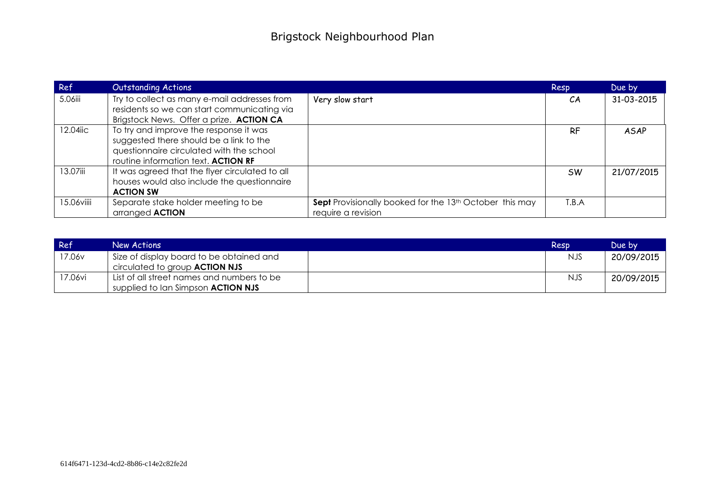| Ref        | <b>Outstanding Actions</b>                                                                                                                                           |                                                                                           | <b>Resp</b> | Due by      |
|------------|----------------------------------------------------------------------------------------------------------------------------------------------------------------------|-------------------------------------------------------------------------------------------|-------------|-------------|
| 5.06iii    | Try to collect as many e-mail addresses from<br>residents so we can start communicating via<br>Brigstock News. Offer a prize. ACTION CA                              | Very slow start                                                                           | CA          | 31-03-2015  |
| 12.04iic   | To try and improve the response it was<br>suggested there should be a link to the<br>questionnaire circulated with the school<br>routine information text. ACTION RF |                                                                                           | <b>RF</b>   | <b>ASAP</b> |
| 13.07iii   | It was agreed that the flyer circulated to all<br>houses would also include the questionnaire<br><b>ACTION SW</b>                                                    |                                                                                           | <b>SW</b>   | 21/07/2015  |
| 15.06viiii | Separate stake holder meeting to be<br>arranged <b>ACTION</b>                                                                                                        | Sept Provisionally booked for the 13 <sup>th</sup> October this may<br>require a revision | T.B.A       |             |

| Ref     | New Actions                                | Resp       | Due by     |
|---------|--------------------------------------------|------------|------------|
| 17.06v  | Size of display board to be obtained and   | NJS.       | 20/09/2015 |
|         | circulated to group <b>ACTION NJS</b>      |            |            |
| 17.06vi | List of all street names and numbers to be | <b>NJS</b> | 20/09/2015 |
|         | supplied to Ian Simpson <b>ACTION NJS</b>  |            |            |